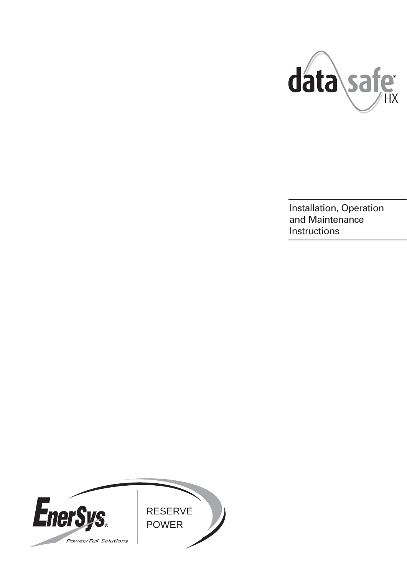

Installation, Operation and Maintenance **Instructions** 

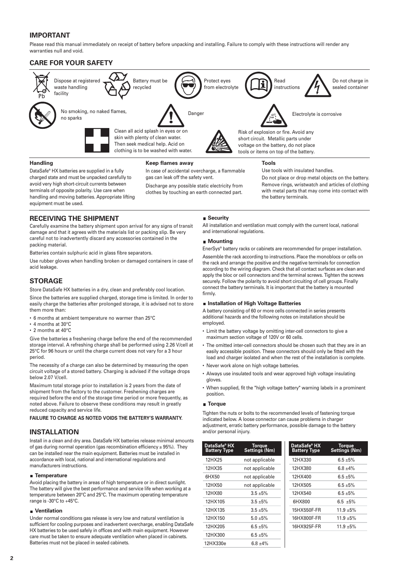# **IMPORTANT**

Please read this manual immediately on receipt of battery before unpacking and installing. Failure to comply with these instructions will render any warranties null and void.

## **CARE FOR YOUR SAFETY**



### **Handling**

DataSafe® HX batteries are supplied in a fully charged state and must be unpacked carefully to avoid very high short-circuit currents between terminals of opposite polarity. Use care when handling and moving batteries. Appropriate lifting equipment must be used.

#### **Keep flames away**

In case of accidental overcharge, a flammable gas can leak off the safety vent.

Discharge any possible static electricity from clothes by touching an earth connected part.

### **Tools**

Use tools with insulated handles.

Do not place or drop metal objects on the battery. Remove rings, wristwatch and articles of clothing with metal parts that may come into contact with the battery terminals.

### **RECEIVING THE SHIPMENT**

Carefully examine the battery shipment upon arrival for any signs of transit damage and that it agrees with the materials list or packing slip. Be very careful not to inadvertently discard any accessories contained in the packing material.

Batteries contain sulphuric acid in glass fibre separators.

Use rubber gloves when handling broken or damaged containers in case of acid leakage.

## **STORAGE**

Store DataSafe HX batteries in a dry, clean and preferably cool location.

Since the batteries are supplied charged, storage time is limited. In order to easily charge the batteries after prolonged storage, it is advised not to store them more than:

- 6 months at ambient temperature no warmer than 25°C
- 4 months at 30°C
- 2 months at 40°C

Give the batteries a freshening charge before the end of the recommended storage interval. A refreshing charge shall be performed using 2.26 V/cell at 25°C for 96 hours or until the charge current does not vary for a 3 hour period.

The necessity of a charge can also be determined by measuring the open circuit voltage of a stored battery. Charging is advised if the voltage drops below 2.07 V/cell.

Maximum total storage prior to installation is 2 years from the date of shipment from the factory to the customer. Freshening charges are required before the end of the storage time period or more frequently, as noted above. Failure to observe these conditions may result in greatly reduced capacity and service life.

#### **FAILURE TO CHARGE AS NOTED VOIDS THE BATTERY'S WARRANTY.**

## **INSTALLATION**

Install in a clean and dry area. DataSafe HX batteries release minimal amounts of gas during normal operation (gas recombination efficiency ≥ 95%). They can be installed near the main equipment. Batteries must be installed in accordance with local, national and international regulations and manufacturers instructions.

#### **Temperature**

Avoid placing the battery in areas of high temperature or in direct sunlight. The battery will give the best performance and service life when working at a temperature between 20°C and 25°C. The maximum operating temperature range is -30°C to +45°C.

#### **Ventilation**

Under normal conditions gas release is very low and natural ventilation is sufficient for cooling purposes and inadvertent overcharge, enabling DataSafe HX batteries to be used safely in offices and with main equipment. However care must be taken to ensure adequate ventilation when placed in cabinets. Batteries must not be placed in sealed cabinets.

#### **■ Security**

All installation and ventilation must comply with the current local, national and international regulations.

#### **Mounting**

EnerSys® battery racks or cabinets are recommended for proper installation.

Assemble the rack according to instructions. Place the monoblocs or cells on the rack and arrange the positive and the negative terminals for connection according to the wiring diagram. Check that all contact surfaces are clean and apply the bloc or cell connectors and the terminal screws. Tighten the screws securely. Follow the polarity to avoid short circuiting of cell groups. Finally connect the battery terminals. It is important that the battery is mounted firmly.

#### **Installation of High Voltage Batteries**

A battery consisting of 60 or more cells connected in series presents additional hazards and the following notes on installation should be employed.

- Limit the battery voltage by omitting inter-cell connectors to give a maximum section voltage of 120V or 60 cells.
- The omitted inter-cell connectors should be chosen such that they are in an easily accessible position. These connectors should only be fitted with the load and charger isolated and when the rest of the installation is complete.
- Never work alone on high voltage batteries.
- Always use insulated tools and wear approved high voltage insulating gloves.
- When supplied, fit the "high voltage battery" warning labels in a prominent position.

#### **Torque**

Tighten the nuts or bolts to the recommended levels of fastening torque indicated below. A loose connector can cause problems in charger adjustment, erratic battery performance, possible damage to the battery and/or personal injury.

| DataSafe® HX<br><b>Battery Type</b> | Torque<br>Settings (Nm) | DataSafe <sup>®</sup> HX<br><b>Battery Type</b> | Torque<br>Settings (Nm) |
|-------------------------------------|-------------------------|-------------------------------------------------|-------------------------|
| 12HX25                              | not applicable          | 12HX330                                         | $6.5 + 5%$              |
| 12HX35                              | not applicable          | 12HX380                                         | $6.8 + 4\%$             |
| 6HX50                               | not applicable          | 12HX400                                         | $6.5 + 5\%$             |
| 12HX50                              | not applicable          | 12HX505                                         | $6.5 + 5\%$             |
| 12HX80                              | $3.5 + 5%$              | 12HX540                                         | $6.5 + 5\%$             |
| 12HX105                             | $3.5 + 5%$              | 6HX800                                          | $6.5 + 5\%$             |
| 12HX135                             | $3.5 + 5%$              | 15HX550F-FR                                     | $11.9 + 5\%$            |
| 12HX150                             | $5.0 + 5\%$             | 16HX800F-FR                                     | $11.9 + 5\%$            |
| 12HX205                             | $6.5 + 5%$              | 16HX925F-FR                                     | $11.9 + 5%$             |
| 12HX300                             | $6.5 + 5%$              |                                                 |                         |
| 12HX330e                            | $6.8 + 4\%$             |                                                 |                         |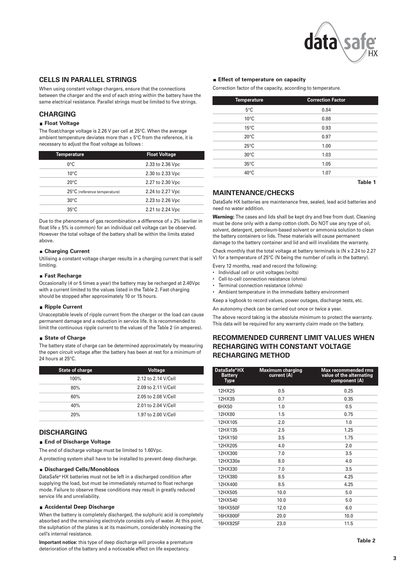

### **CELLS IN PARALLEL STRINGS**

When using constant voltage chargers, ensure that the connections between the charger and the end of each string within the battery have the same electrical resistance. Parallel strings must be limited to five strings.

### **CHARGING**

### **Float Voltage**

The float/charge voltage is 2.26 V per cell at 25°C. When the average ambient temperature deviates more than  $\pm$  5°C from the reference, it is necessary to adjust the float voltage as follows :

| <b>Temperature</b>           | <b>Float Voltage</b> |
|------------------------------|----------------------|
| $0^{\circ}$ C                | 2.33 to 2.36 Vpc     |
| $10^{\circ}$ C               | 2.30 to 2.33 Vpc     |
| $20^{\circ}$ C               | 2.27 to 2.30 Vpc     |
| 25°C (reference temperature) | 2.24 to 2.27 Vpc     |
| $30^{\circ}$ C               | 2.23 to 2.26 Vpc     |
| $35^{\circ}$ C               | 2.21 to 2.24 Vpc     |

Due to the phenomena of gas recombination a difference of  $\pm 2\%$  (earlier in float life  $\pm$  5% is common) for an individual cell voltage can be observed. However the total voltage of the battery shall be within the limits stated above.

#### **Charging Current**

Utilising a constant voltage charger results in a charging current that is self limiting.

#### **Fast Recharge**

Occasionally (4 or 5 times a year) the battery may be recharged at 2.40Vpc with a current limited to the values listed in the Table 2. Fast charging should be stopped after approximately 10 or 15 hours.

#### **Ripple Current**

Unacceptable levels of ripple current from the charger or the load can cause permanent damage and a reduction in service life. It is recommended to limit the continuous ripple current to the values of the Table 2 (in amperes).

### **State of Charge**

The battery state of charge can be determined approximately by measuring the open circuit voltage after the battery has been at rest for a minimum of 24 hours at 25°C.

| <b>State of charge</b> | <b>Voltage</b>      |
|------------------------|---------------------|
| 100%                   | 2.12 to 2.14 V/Cell |
| 80%                    | 2.09 to 2.11 V/Cell |
| 60%                    | 2.05 to 2.08 V/Cell |
| 40%                    | 2.01 to 2.04 V/Cell |
| 20%                    | 1.97 to 2.00 V/Cell |

## **DISCHARGING**

### **End of Discharge Voltage**

The end of discharge voltage must be limited to 1.60Vpc.

A protecting system shall have to be installed to prevent deep discharge.

#### **Discharged Cells/Monoblocs**

DataSafe® HX batteries must not be left in a discharged condition after supplying the load, but must be immediately returned to float recharge mode. Failure to observe these conditions may result in greatly reduced service life and unreliability.

#### **Accidental Deep Discharge**

When the battery is completely discharged, the sulphuric acid is completely absorbed and the remaining electrolyte consists only of water. At this point, the sulphation of the plates is at its maximum, considerably increasing the cell's internal resistance.

**Important notice:** this type of deep discharge will provoke a premature deterioration of the battery and a noticeable effect on life expectancy.

### **Effect of temperature on capacity**

Correction factor of the capacity, according to temperature.

| <b>Temperature</b> | <b>Correction Factor</b> |  |
|--------------------|--------------------------|--|
| $5^{\circ}$ C      | 0.84                     |  |
| $10^{\circ}$ C     | 0.88                     |  |
| $15^{\circ}$ C     | 0.93                     |  |
| $20^{\circ}$ C     | 0.97                     |  |
| $25^{\circ}$ C     | 1.00                     |  |
| $30^{\circ}$ C     | 1.03                     |  |
| $35^{\circ}$ C     | 1.05                     |  |
| $40^{\circ}$ C     | 1.07                     |  |
|                    |                          |  |

**Table 1**

## **MAINTENANCE/CHECKS**

DataSafe HX batteries are maintenance free, sealed, lead acid batteries and need no water addition.

**Warning:** The cases and lids shall be kept dry and free from dust. Cleaning must be done only with a damp cotton cloth. Do NOT use any type of oil, solvent, detergent, petroleum-based solvent or ammonia solution to clean the battery containers or lids. These materials will cause permanent damage to the battery container and lid and will invalidate the warranty.

Check monthly that the total voltage at battery terminals is (N x 2.24 to 2.27 V) for a temperature of 25°C (N being the number of cells in the battery).

Every 12 months, read and record the following:

- Individual cell or unit voltages (volts)
- Cell-to-cell connection resistance (ohms)
- Terminal connection resistance (ohms)

• Ambient temperature in the immediate battery environment

Keep a logbook to record values, power outages, discharge tests, etc.

An autonomy check can be carried out once or twice a year.

The above record taking is the absolute minimum to protect the warranty. This data will be required for any warranty claim made on the battery.

## **RECOMMENDED CURRENT LIMIT VALUES WHEN RECHARGING WITH CONSTANT VOLTAGE RECHARGING METHOD**

| DataSafe®HX<br><b>Battery</b><br><b>Type</b> | <b>Maximum charging</b><br>current (A) | <b>Max recommended rms</b><br>value of the alternating<br>component (A) |
|----------------------------------------------|----------------------------------------|-------------------------------------------------------------------------|
| 12HX25                                       | 0.5                                    | 0.25                                                                    |
| 12HX35                                       | 0.7                                    | 0.35                                                                    |
| 6HX50                                        | 1.0                                    | 0.5                                                                     |
| 12HX80                                       | 1.5                                    | 0.75                                                                    |
| 12HX105                                      | 2.0                                    | 1.0                                                                     |
| 12HX135                                      | 2.5                                    | 1.25                                                                    |
| 12HX150                                      | 3.5                                    | 1.75                                                                    |
| 12HX205                                      | 4.0                                    | 2.0                                                                     |
| 12HX300                                      | 7.0                                    | 3.5                                                                     |
| 12HX330e                                     | 8.0                                    | 4.0                                                                     |
| 12HX330                                      | 7.0                                    | 3.5                                                                     |
| 12HX380                                      | 8.5                                    | 4.25                                                                    |
| 12HX400                                      | 8.5                                    | 4.25                                                                    |
| 12HX505                                      | 10.0                                   | 5.0                                                                     |
| 12HX540                                      | 10.0                                   | 5.0                                                                     |
| 16HX550F                                     | 12.0                                   | 6.0                                                                     |
| 16HX800F                                     | 20.0                                   | 10.0                                                                    |
| 16HX925F                                     | 23.0                                   | 11.5                                                                    |